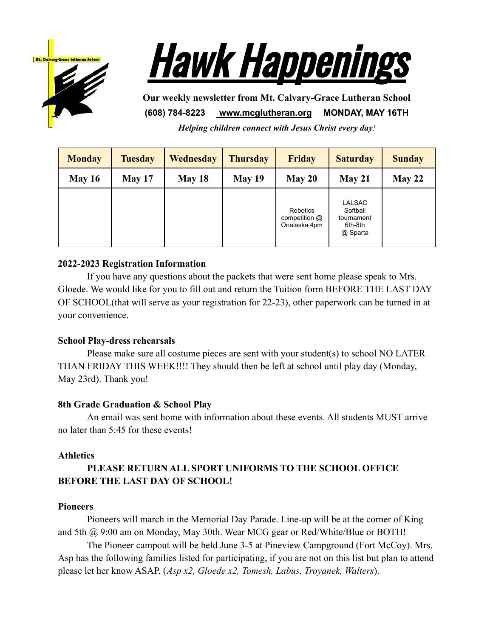



**Our weekly newsletter from Mt. Calvary-Grace Lutheran School (608) 784-8223 [www.mcglutheran.org](http://www.mcglutheran.org/) MONDAY, MAY 16TH**

*Helping children connect with Jesus Christ every day!*

| <b>Monday</b> | <b>Tuesday</b> | Wednesday     | <b>Thursday</b> | <b>Friday</b>                             | <b>Saturday</b>                                                | <b>Sunday</b> |
|---------------|----------------|---------------|-----------------|-------------------------------------------|----------------------------------------------------------------|---------------|
| <b>May 16</b> | May 17         | <b>May 18</b> | May 19          | May 20                                    | May 21                                                         | May 22        |
|               |                |               |                 | Robotics<br>competition @<br>Onalaska 4pm | <b>LALSAC</b><br>Softball<br>tournament<br>6th-8th<br>@ Sparta |               |

### **2022-2023 Registration Information**

If you have any questions about the packets that were sent home please speak to Mrs. Gloede. We would like for you to fill out and return the Tuition form BEFORE THE LAST DAY OF SCHOOL(that will serve as your registration for 22-23), other paperwork can be turned in at your convenience.

#### **School Play-dress rehearsals**

Please make sure all costume pieces are sent with your student(s) to school NO LATER THAN FRIDAY THIS WEEK!!!! They should then be left at school until play day (Monday, May 23rd). Thank you!

#### **8th Grade Graduation & School Play**

An email was sent home with information about these events. All students MUST arrive no later than 5:45 for these events!

#### **Athletics**

# **PLEASE RETURN ALL SPORT UNIFORMS TO THE SCHOOL OFFICE BEFORE THE LAST DAY OF SCHOOL!**

#### **Pioneers**

Pioneers will march in the Memorial Day Parade. Line-up will be at the corner of King and 5th @ 9:00 am on Monday, May 30th. Wear MCG gear or Red/White/Blue or BOTH!

The Pioneer campout will be held June 3-5 at Pineview Campground (Fort McCoy). Mrs. Asp has the following families listed for participating, if you are not on this list but plan to attend please let her know ASAP. (*Asp x2, Gloede x2, Tomesh, Labus, Troyanek, Walters*).